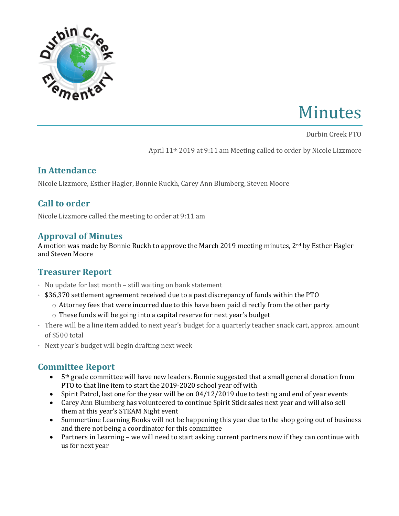

# Minutes

Durbin Creek PTO 

April 11<sup>th</sup> 2019 at 9:11 am Meeting called to order by Nicole Lizzmore

#### **In Attendance**

Nicole Lizzmore, Esther Hagler, Bonnie Ruckh, Carey Ann Blumberg, Steven Moore

# **Call to order**

Nicole Lizzmore called the meeting to order at 9:11 am

## **Approval of Minutes**

A motion was made by Bonnie Ruckh to approve the March 2019 meeting minutes,  $2^{nd}$  by Esther Hagler and Steven Moore

# **Treasurer Report**

- $\cdot$  No update for last month still waiting on bank statement
- $\cdot$  \$36,370 settlement agreement received due to a past discrepancy of funds within the PTO
	- $\circ$  Attorney fees that were incurred due to this have been paid directly from the other party
	- $\circ$  These funds will be going into a capital reserve for next year's budget
- There will be a line item added to next year's budget for a quarterly teacher snack cart, approx. amount of \$500 total
- $\cdot$  Next year's budget will begin drafting next week

# **Committee Report**

- $5<sup>th</sup>$  grade committee will have new leaders. Bonnie suggested that a small general donation from PTO to that line item to start the 2019-2020 school year off with
- Spirit Patrol, last one for the year will be on 04/12/2019 due to testing and end of year events
- Carey Ann Blumberg has volunteered to continue Spirit Stick sales next year and will also sell them at this year's STEAM Night event
- Summertime Learning Books will not be happening this year due to the shop going out of business and there not being a coordinator for this committee
- Partners in Learning we will need to start asking current partners now if they can continue with us for next year